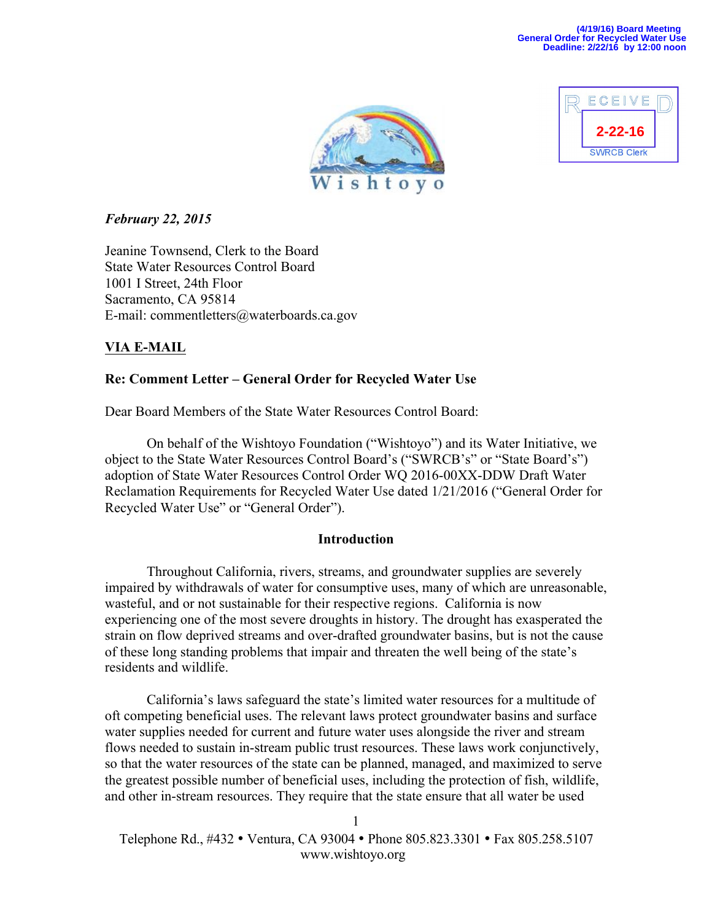



### *February 22, 2015*

Jeanine Townsend, Clerk to the Board State Water Resources Control Board 1001 I Street, 24th Floor Sacramento, CA 95814 E-mail: commentletters@waterboards.ca.gov

# **VIA E-MAIL**

# **Re: Comment Letter – General Order for Recycled Water Use**

Dear Board Members of the State Water Resources Control Board:

On behalf of the Wishtoyo Foundation ("Wishtoyo") and its Water Initiative, we object to the State Water Resources Control Board's ("SWRCB's" or "State Board's") adoption of State Water Resources Control Order WQ 2016-00XX-DDW Draft Water Reclamation Requirements for Recycled Water Use dated 1/21/2016 ("General Order for Recycled Water Use" or "General Order").

### **Introduction**

Throughout California, rivers, streams, and groundwater supplies are severely impaired by withdrawals of water for consumptive uses, many of which are unreasonable, wasteful, and or not sustainable for their respective regions. California is now experiencing one of the most severe droughts in history. The drought has exasperated the strain on flow deprived streams and over-drafted groundwater basins, but is not the cause of these long standing problems that impair and threaten the well being of the state's residents and wildlife.

California's laws safeguard the state's limited water resources for a multitude of oft competing beneficial uses. The relevant laws protect groundwater basins and surface water supplies needed for current and future water uses alongside the river and stream flows needed to sustain in-stream public trust resources. These laws work conjunctively, so that the water resources of the state can be planned, managed, and maximized to serve the greatest possible number of beneficial uses, including the protection of fish, wildlife, and other in-stream resources. They require that the state ensure that all water be used

 Telephone Rd., #432 • Ventura, CA 93004 • Phone 805.823.3301 • Fax 805.258.5107 www.wishtoyo.org 1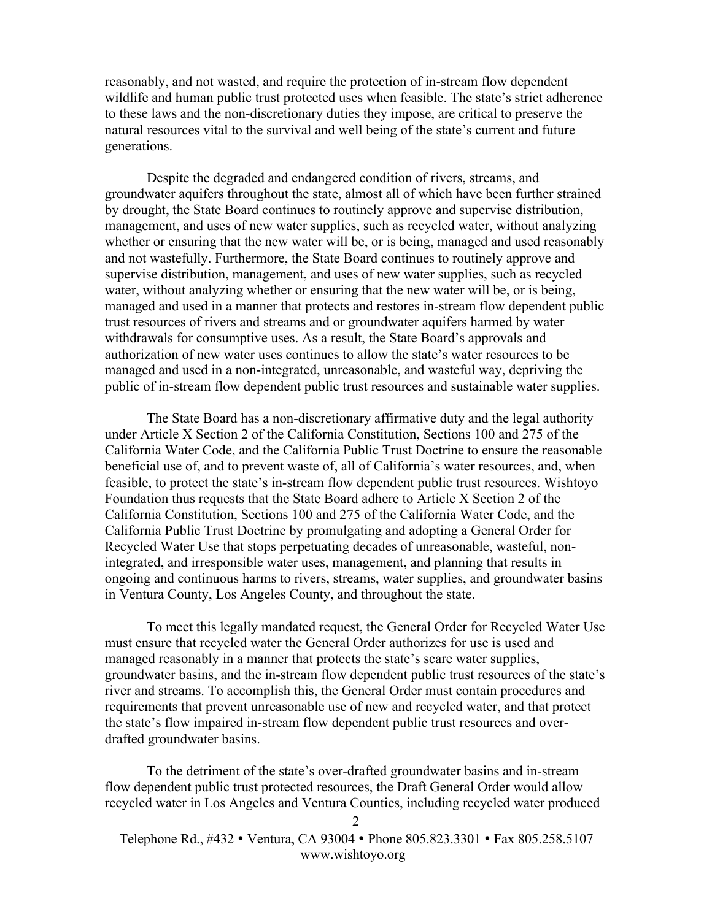reasonably, and not wasted, and require the protection of in-stream flow dependent wildlife and human public trust protected uses when feasible. The state's strict adherence to these laws and the non-discretionary duties they impose, are critical to preserve the natural resources vital to the survival and well being of the state's current and future generations.

Despite the degraded and endangered condition of rivers, streams, and groundwater aquifers throughout the state, almost all of which have been further strained by drought, the State Board continues to routinely approve and supervise distribution, management, and uses of new water supplies, such as recycled water, without analyzing whether or ensuring that the new water will be, or is being, managed and used reasonably and not wastefully. Furthermore, the State Board continues to routinely approve and supervise distribution, management, and uses of new water supplies, such as recycled water, without analyzing whether or ensuring that the new water will be, or is being, managed and used in a manner that protects and restores in-stream flow dependent public trust resources of rivers and streams and or groundwater aquifers harmed by water withdrawals for consumptive uses. As a result, the State Board's approvals and authorization of new water uses continues to allow the state's water resources to be managed and used in a non-integrated, unreasonable, and wasteful way, depriving the public of in-stream flow dependent public trust resources and sustainable water supplies.

The State Board has a non-discretionary affirmative duty and the legal authority under Article X Section 2 of the California Constitution, Sections 100 and 275 of the California Water Code, and the California Public Trust Doctrine to ensure the reasonable beneficial use of, and to prevent waste of, all of California's water resources, and, when feasible, to protect the state's in-stream flow dependent public trust resources. Wishtoyo Foundation thus requests that the State Board adhere to Article X Section 2 of the California Constitution, Sections 100 and 275 of the California Water Code, and the California Public Trust Doctrine by promulgating and adopting a General Order for Recycled Water Use that stops perpetuating decades of unreasonable, wasteful, nonintegrated, and irresponsible water uses, management, and planning that results in ongoing and continuous harms to rivers, streams, water supplies, and groundwater basins in Ventura County, Los Angeles County, and throughout the state.

To meet this legally mandated request, the General Order for Recycled Water Use must ensure that recycled water the General Order authorizes for use is used and managed reasonably in a manner that protects the state's scare water supplies, groundwater basins, and the in-stream flow dependent public trust resources of the state's river and streams. To accomplish this, the General Order must contain procedures and requirements that prevent unreasonable use of new and recycled water, and that protect the state's flow impaired in-stream flow dependent public trust resources and overdrafted groundwater basins.

To the detriment of the state's over-drafted groundwater basins and in-stream flow dependent public trust protected resources, the Draft General Order would allow recycled water in Los Angeles and Ventura Counties, including recycled water produced

 Telephone Rd., #432 • Ventura, CA 93004 • Phone 805.823.3301 • Fax 805.258.5107 www.wishtoyo.org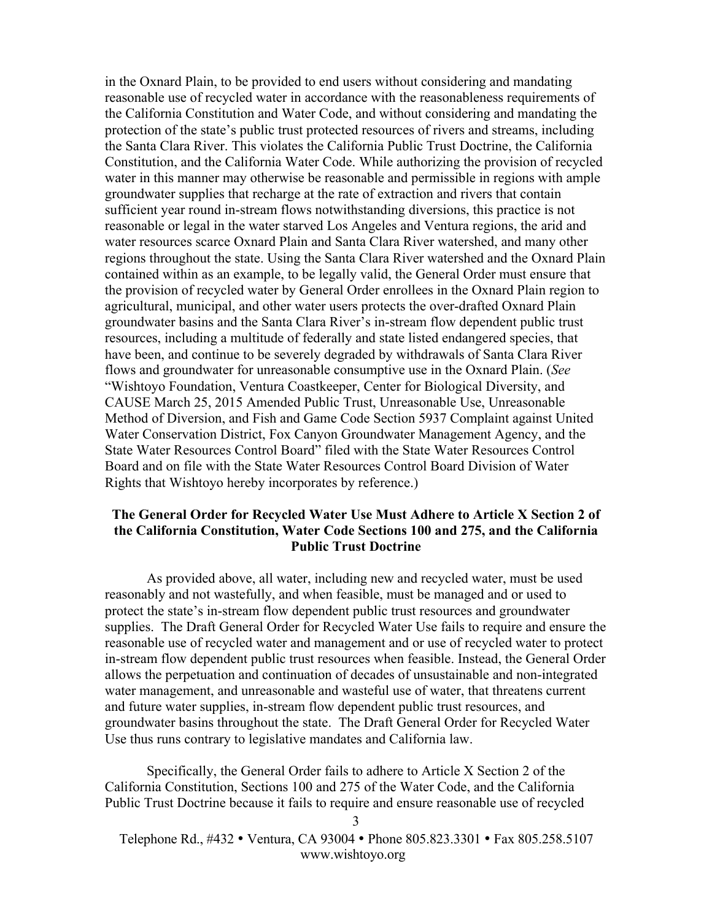in the Oxnard Plain, to be provided to end users without considering and mandating reasonable use of recycled water in accordance with the reasonableness requirements of the California Constitution and Water Code, and without considering and mandating the protection of the state's public trust protected resources of rivers and streams, including the Santa Clara River. This violates the California Public Trust Doctrine, the California Constitution, and the California Water Code. While authorizing the provision of recycled water in this manner may otherwise be reasonable and permissible in regions with ample groundwater supplies that recharge at the rate of extraction and rivers that contain sufficient year round in-stream flows notwithstanding diversions, this practice is not reasonable or legal in the water starved Los Angeles and Ventura regions, the arid and water resources scarce Oxnard Plain and Santa Clara River watershed, and many other regions throughout the state. Using the Santa Clara River watershed and the Oxnard Plain contained within as an example, to be legally valid, the General Order must ensure that the provision of recycled water by General Order enrollees in the Oxnard Plain region to agricultural, municipal, and other water users protects the over-drafted Oxnard Plain groundwater basins and the Santa Clara River's in-stream flow dependent public trust resources, including a multitude of federally and state listed endangered species, that have been, and continue to be severely degraded by withdrawals of Santa Clara River flows and groundwater for unreasonable consumptive use in the Oxnard Plain. (*See*  "Wishtoyo Foundation, Ventura Coastkeeper, Center for Biological Diversity, and CAUSE March 25, 2015 Amended Public Trust, Unreasonable Use, Unreasonable Method of Diversion, and Fish and Game Code Section 5937 Complaint against United Water Conservation District, Fox Canyon Groundwater Management Agency, and the State Water Resources Control Board" filed with the State Water Resources Control Board and on file with the State Water Resources Control Board Division of Water Rights that Wishtoyo hereby incorporates by reference.)

#### **The General Order for Recycled Water Use Must Adhere to Article X Section 2 of the California Constitution, Water Code Sections 100 and 275, and the California Public Trust Doctrine**

As provided above, all water, including new and recycled water, must be used reasonably and not wastefully, and when feasible, must be managed and or used to protect the state's in-stream flow dependent public trust resources and groundwater supplies. The Draft General Order for Recycled Water Use fails to require and ensure the reasonable use of recycled water and management and or use of recycled water to protect in-stream flow dependent public trust resources when feasible. Instead, the General Order allows the perpetuation and continuation of decades of unsustainable and non-integrated water management, and unreasonable and wasteful use of water, that threatens current and future water supplies, in-stream flow dependent public trust resources, and groundwater basins throughout the state. The Draft General Order for Recycled Water Use thus runs contrary to legislative mandates and California law.

Specifically, the General Order fails to adhere to Article X Section 2 of the California Constitution, Sections 100 and 275 of the Water Code, and the California Public Trust Doctrine because it fails to require and ensure reasonable use of recycled

 Telephone Rd., #432 • Ventura, CA 93004 • Phone 805.823.3301 • Fax 805.258.5107 www.wishtoyo.org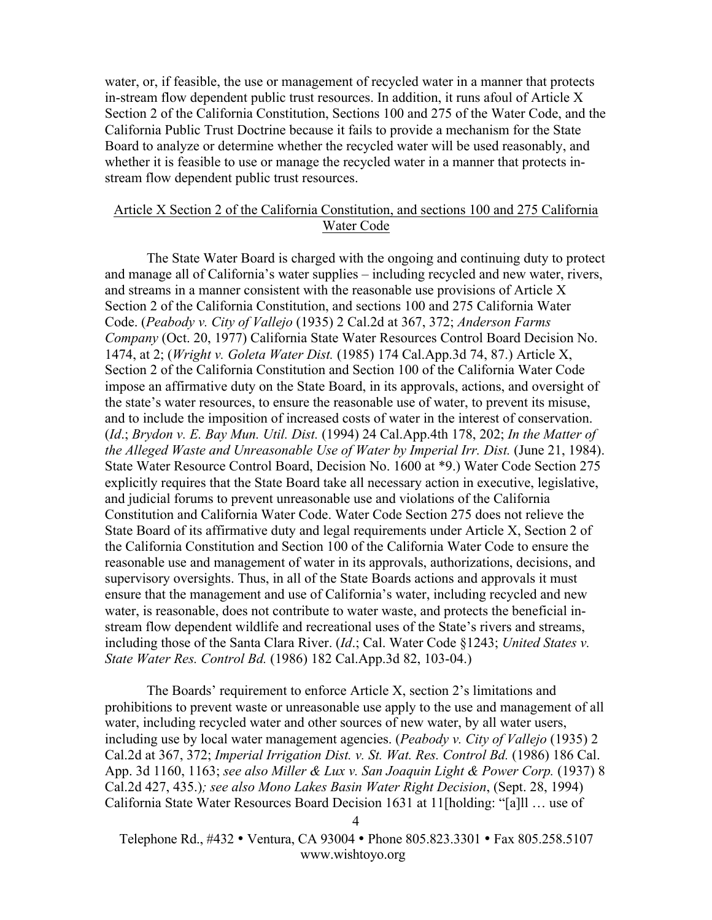water, or, if feasible, the use or management of recycled water in a manner that protects in-stream flow dependent public trust resources. In addition, it runs afoul of Article X Section 2 of the California Constitution, Sections 100 and 275 of the Water Code, and the California Public Trust Doctrine because it fails to provide a mechanism for the State Board to analyze or determine whether the recycled water will be used reasonably, and whether it is feasible to use or manage the recycled water in a manner that protects instream flow dependent public trust resources.

### Article X Section 2 of the California Constitution, and sections 100 and 275 California Water Code

The State Water Board is charged with the ongoing and continuing duty to protect and manage all of California's water supplies – including recycled and new water, rivers, and streams in a manner consistent with the reasonable use provisions of Article X Section 2 of the California Constitution, and sections 100 and 275 California Water Code. (*Peabody v. City of Vallejo* (1935) 2 Cal.2d at 367, 372; *Anderson Farms Company* (Oct. 20, 1977) California State Water Resources Control Board Decision No. 1474, at 2; (*Wright v. Goleta Water Dist.* (1985) 174 Cal.App.3d 74, 87.) Article X, Section 2 of the California Constitution and Section 100 of the California Water Code impose an affirmative duty on the State Board, in its approvals, actions, and oversight of the state's water resources, to ensure the reasonable use of water, to prevent its misuse, and to include the imposition of increased costs of water in the interest of conservation. (*Id*.; *Brydon v. E. Bay Mun. Util. Dist.* (1994) 24 Cal.App.4th 178, 202; *In the Matter of the Alleged Waste and Unreasonable Use of Water by Imperial Irr. Dist.* (June 21, 1984). State Water Resource Control Board, Decision No. 1600 at \*9.) Water Code Section 275 explicitly requires that the State Board take all necessary action in executive, legislative, and judicial forums to prevent unreasonable use and violations of the California Constitution and California Water Code. Water Code Section 275 does not relieve the State Board of its affirmative duty and legal requirements under Article X, Section 2 of the California Constitution and Section 100 of the California Water Code to ensure the reasonable use and management of water in its approvals, authorizations, decisions, and supervisory oversights. Thus, in all of the State Boards actions and approvals it must ensure that the management and use of California's water, including recycled and new water, is reasonable, does not contribute to water waste, and protects the beneficial instream flow dependent wildlife and recreational uses of the State's rivers and streams, including those of the Santa Clara River. (*Id*.; Cal. Water Code §1243; *United States v. State Water Res. Control Bd.* (1986) 182 Cal.App.3d 82, 103-04.)

The Boards' requirement to enforce Article X, section 2's limitations and prohibitions to prevent waste or unreasonable use apply to the use and management of all water, including recycled water and other sources of new water, by all water users, including use by local water management agencies. (*Peabody v. City of Vallejo* (1935) 2 Cal.2d at 367, 372; *Imperial Irrigation Dist. v. St. Wat. Res. Control Bd.* (1986) 186 Cal. App. 3d 1160, 1163; *see also Miller & Lux v. San Joaquin Light & Power Corp.* (1937) 8 Cal.2d 427, 435.)*; see also Mono Lakes Basin Water Right Decision*, (Sept. 28, 1994) California State Water Resources Board Decision 1631 at 11[holding: "[a]ll … use of

 Telephone Rd., #432 • Ventura, CA 93004 • Phone 805.823.3301 • Fax 805.258.5107 www.wishtoyo.org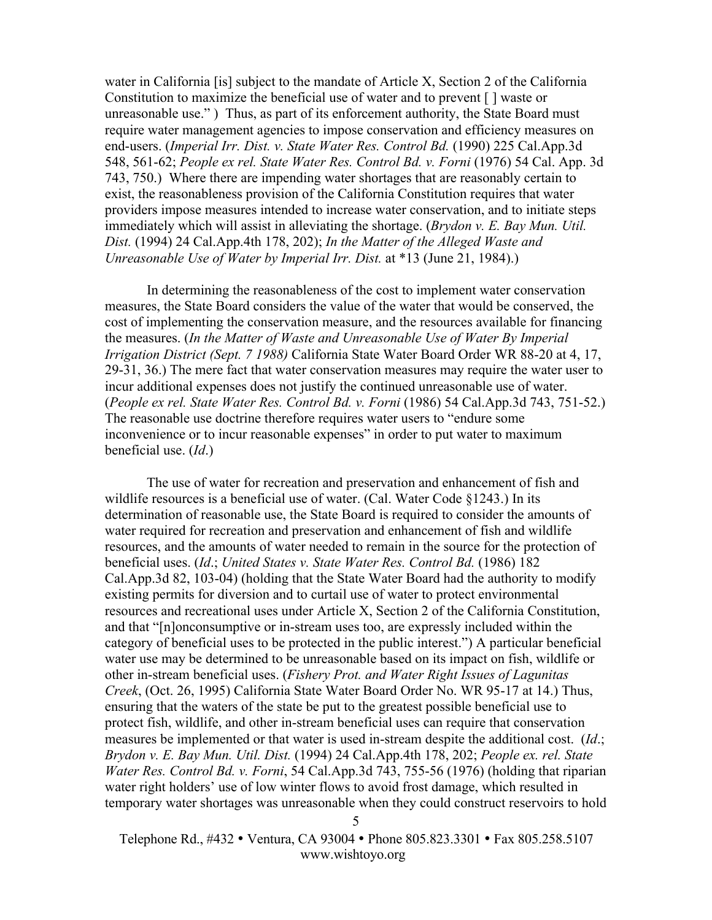water in California [is] subject to the mandate of Article X, Section 2 of the California Constitution to maximize the beneficial use of water and to prevent [ ] waste or unreasonable use." ) Thus, as part of its enforcement authority, the State Board must require water management agencies to impose conservation and efficiency measures on end-users. (*Imperial Irr. Dist. v. State Water Res. Control Bd.* (1990) 225 Cal.App.3d 548, 561-62; *People ex rel. State Water Res. Control Bd. v. Forni* (1976) 54 Cal. App. 3d 743, 750.) Where there are impending water shortages that are reasonably certain to exist, the reasonableness provision of the California Constitution requires that water providers impose measures intended to increase water conservation, and to initiate steps immediately which will assist in alleviating the shortage. (*Brydon v. E. Bay Mun. Util. Dist.* (1994) 24 Cal.App.4th 178, 202); *In the Matter of the Alleged Waste and Unreasonable Use of Water by Imperial Irr. Dist.* at \*13 (June 21, 1984).)

In determining the reasonableness of the cost to implement water conservation measures, the State Board considers the value of the water that would be conserved, the cost of implementing the conservation measure, and the resources available for financing the measures. (*In the Matter of Waste and Unreasonable Use of Water By Imperial Irrigation District (Sept. 7 1988)* California State Water Board Order WR 88-20 at 4, 17, 29-31, 36.) The mere fact that water conservation measures may require the water user to incur additional expenses does not justify the continued unreasonable use of water. (*People ex rel. State Water Res. Control Bd. v. Forni* (1986) 54 Cal.App.3d 743, 751-52.) The reasonable use doctrine therefore requires water users to "endure some inconvenience or to incur reasonable expenses" in order to put water to maximum beneficial use. (*Id*.)

The use of water for recreation and preservation and enhancement of fish and wildlife resources is a beneficial use of water. (Cal. Water Code §1243.) In its determination of reasonable use, the State Board is required to consider the amounts of water required for recreation and preservation and enhancement of fish and wildlife resources, and the amounts of water needed to remain in the source for the protection of beneficial uses. (*Id*.; *United States v. State Water Res. Control Bd.* (1986) 182 Cal.App.3d 82, 103-04) (holding that the State Water Board had the authority to modify existing permits for diversion and to curtail use of water to protect environmental resources and recreational uses under Article X, Section 2 of the California Constitution, and that "[n]onconsumptive or in-stream uses too, are expressly included within the category of beneficial uses to be protected in the public interest.") A particular beneficial water use may be determined to be unreasonable based on its impact on fish, wildlife or other in-stream beneficial uses. (*Fishery Prot. and Water Right Issues of Lagunitas Creek*, (Oct. 26, 1995) California State Water Board Order No. WR 95-17 at 14.) Thus, ensuring that the waters of the state be put to the greatest possible beneficial use to protect fish, wildlife, and other in-stream beneficial uses can require that conservation measures be implemented or that water is used in-stream despite the additional cost. (*Id*.; *Brydon v. E. Bay Mun. Util. Dist.* (1994) 24 Cal.App.4th 178, 202; *People ex. rel. State Water Res. Control Bd. v. Forni*, 54 Cal.App.3d 743, 755-56 (1976) (holding that riparian water right holders' use of low winter flows to avoid frost damage, which resulted in temporary water shortages was unreasonable when they could construct reservoirs to hold

 Telephone Rd., #432 • Ventura, CA 93004 • Phone 805.823.3301 • Fax 805.258.5107 www.wishtoyo.org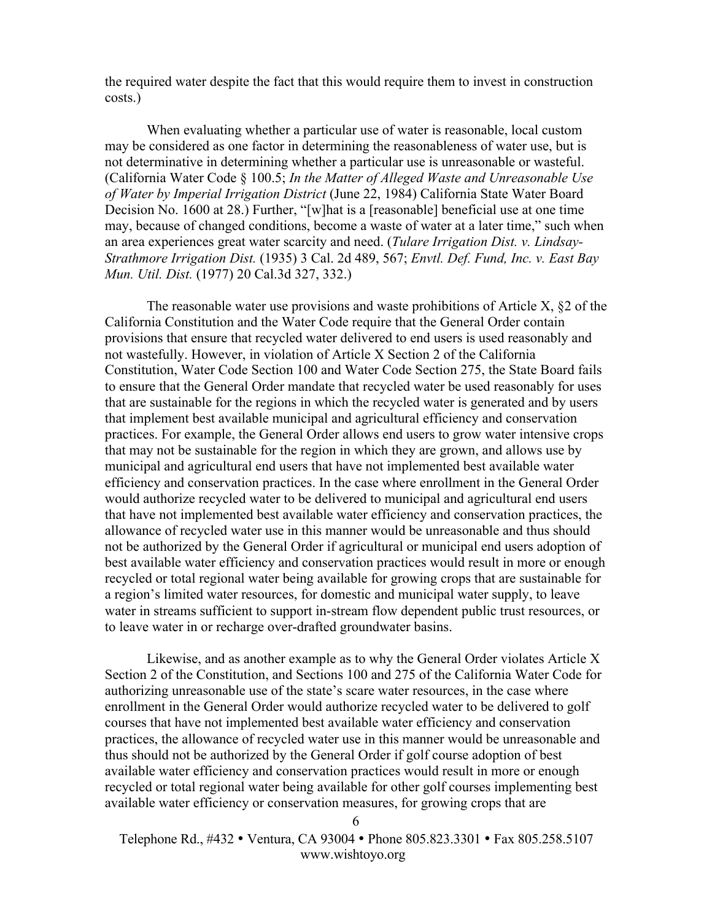the required water despite the fact that this would require them to invest in construction costs.)

When evaluating whether a particular use of water is reasonable, local custom may be considered as one factor in determining the reasonableness of water use, but is not determinative in determining whether a particular use is unreasonable or wasteful. (California Water Code § 100.5; *In the Matter of Alleged Waste and Unreasonable Use of Water by Imperial Irrigation District* (June 22, 1984) California State Water Board Decision No. 1600 at 28.) Further, "[w]hat is a [reasonable] beneficial use at one time may, because of changed conditions, become a waste of water at a later time," such when an area experiences great water scarcity and need. (*Tulare Irrigation Dist. v. Lindsay-Strathmore Irrigation Dist.* (1935) 3 Cal. 2d 489, 567; *Envtl. Def. Fund, Inc. v. East Bay Mun. Util. Dist.* (1977) 20 Cal.3d 327, 332.)

The reasonable water use provisions and waste prohibitions of Article X, §2 of the California Constitution and the Water Code require that the General Order contain provisions that ensure that recycled water delivered to end users is used reasonably and not wastefully. However, in violation of Article X Section 2 of the California Constitution, Water Code Section 100 and Water Code Section 275, the State Board fails to ensure that the General Order mandate that recycled water be used reasonably for uses that are sustainable for the regions in which the recycled water is generated and by users that implement best available municipal and agricultural efficiency and conservation practices. For example, the General Order allows end users to grow water intensive crops that may not be sustainable for the region in which they are grown, and allows use by municipal and agricultural end users that have not implemented best available water efficiency and conservation practices. In the case where enrollment in the General Order would authorize recycled water to be delivered to municipal and agricultural end users that have not implemented best available water efficiency and conservation practices, the allowance of recycled water use in this manner would be unreasonable and thus should not be authorized by the General Order if agricultural or municipal end users adoption of best available water efficiency and conservation practices would result in more or enough recycled or total regional water being available for growing crops that are sustainable for a region's limited water resources, for domestic and municipal water supply, to leave water in streams sufficient to support in-stream flow dependent public trust resources, or to leave water in or recharge over-drafted groundwater basins.

Likewise, and as another example as to why the General Order violates Article X Section 2 of the Constitution, and Sections 100 and 275 of the California Water Code for authorizing unreasonable use of the state's scare water resources, in the case where enrollment in the General Order would authorize recycled water to be delivered to golf courses that have not implemented best available water efficiency and conservation practices, the allowance of recycled water use in this manner would be unreasonable and thus should not be authorized by the General Order if golf course adoption of best available water efficiency and conservation practices would result in more or enough recycled or total regional water being available for other golf courses implementing best available water efficiency or conservation measures, for growing crops that are

 Telephone Rd., #432 • Ventura, CA 93004 • Phone 805.823.3301 • Fax 805.258.5107 www.wishtoyo.org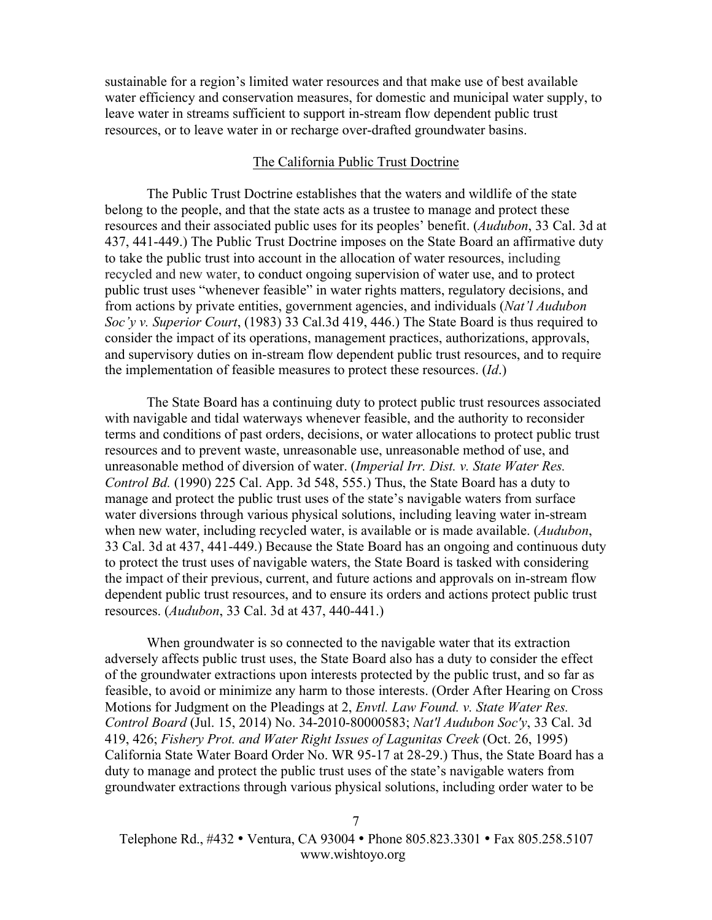sustainable for a region's limited water resources and that make use of best available water efficiency and conservation measures, for domestic and municipal water supply, to leave water in streams sufficient to support in-stream flow dependent public trust resources, or to leave water in or recharge over-drafted groundwater basins.

#### The California Public Trust Doctrine

The Public Trust Doctrine establishes that the waters and wildlife of the state belong to the people, and that the state acts as a trustee to manage and protect these resources and their associated public uses for its peoples' benefit. (*Audubon*, 33 Cal. 3d at 437, 441-449.) The Public Trust Doctrine imposes on the State Board an affirmative duty to take the public trust into account in the allocation of water resources, including recycled and new water, to conduct ongoing supervision of water use, and to protect public trust uses "whenever feasible" in water rights matters, regulatory decisions, and from actions by private entities, government agencies, and individuals (*Nat'l Audubon Soc'y v. Superior Court*, (1983) 33 Cal.3d 419, 446.) The State Board is thus required to consider the impact of its operations, management practices, authorizations, approvals, and supervisory duties on in-stream flow dependent public trust resources, and to require the implementation of feasible measures to protect these resources. (*Id*.)

The State Board has a continuing duty to protect public trust resources associated with navigable and tidal waterways whenever feasible, and the authority to reconsider terms and conditions of past orders, decisions, or water allocations to protect public trust resources and to prevent waste, unreasonable use, unreasonable method of use, and unreasonable method of diversion of water. (*Imperial Irr. Dist. v. State Water Res. Control Bd.* (1990) 225 Cal. App. 3d 548, 555.) Thus, the State Board has a duty to manage and protect the public trust uses of the state's navigable waters from surface water diversions through various physical solutions, including leaving water in-stream when new water, including recycled water, is available or is made available. (*Audubon*, 33 Cal. 3d at 437, 441-449.) Because the State Board has an ongoing and continuous duty to protect the trust uses of navigable waters, the State Board is tasked with considering the impact of their previous, current, and future actions and approvals on in-stream flow dependent public trust resources, and to ensure its orders and actions protect public trust resources. (*Audubon*, 33 Cal. 3d at 437, 440-441.)

When groundwater is so connected to the navigable water that its extraction adversely affects public trust uses, the State Board also has a duty to consider the effect of the groundwater extractions upon interests protected by the public trust, and so far as feasible, to avoid or minimize any harm to those interests. (Order After Hearing on Cross Motions for Judgment on the Pleadings at 2, *Envtl. Law Found. v. State Water Res. Control Board* (Jul. 15, 2014) No. 34-2010-80000583; *Nat'l Audubon Soc'y*, 33 Cal. 3d 419, 426; *Fishery Prot. and Water Right Issues of Lagunitas Creek* (Oct. 26, 1995) California State Water Board Order No. WR 95-17 at 28-29.) Thus, the State Board has a duty to manage and protect the public trust uses of the state's navigable waters from groundwater extractions through various physical solutions, including order water to be

 Telephone Rd., #432 • Ventura, CA 93004 • Phone 805.823.3301 • Fax 805.258.5107 www.wishtoyo.org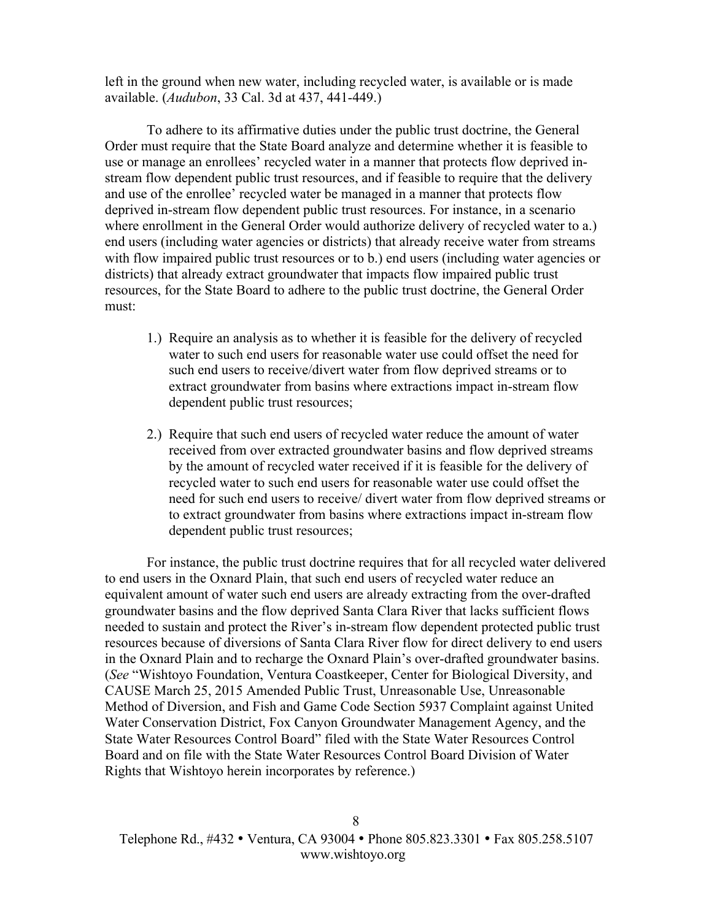left in the ground when new water, including recycled water, is available or is made available. (*Audubon*, 33 Cal. 3d at 437, 441-449.)

To adhere to its affirmative duties under the public trust doctrine, the General Order must require that the State Board analyze and determine whether it is feasible to use or manage an enrollees' recycled water in a manner that protects flow deprived instream flow dependent public trust resources, and if feasible to require that the delivery and use of the enrollee' recycled water be managed in a manner that protects flow deprived in-stream flow dependent public trust resources. For instance, in a scenario where enrollment in the General Order would authorize delivery of recycled water to a.) end users (including water agencies or districts) that already receive water from streams with flow impaired public trust resources or to b.) end users (including water agencies or districts) that already extract groundwater that impacts flow impaired public trust resources, for the State Board to adhere to the public trust doctrine, the General Order must:

- 1.) Require an analysis as to whether it is feasible for the delivery of recycled water to such end users for reasonable water use could offset the need for such end users to receive/divert water from flow deprived streams or to extract groundwater from basins where extractions impact in-stream flow dependent public trust resources;
- 2.) Require that such end users of recycled water reduce the amount of water received from over extracted groundwater basins and flow deprived streams by the amount of recycled water received if it is feasible for the delivery of recycled water to such end users for reasonable water use could offset the need for such end users to receive/ divert water from flow deprived streams or to extract groundwater from basins where extractions impact in-stream flow dependent public trust resources;

For instance, the public trust doctrine requires that for all recycled water delivered to end users in the Oxnard Plain, that such end users of recycled water reduce an equivalent amount of water such end users are already extracting from the over-drafted groundwater basins and the flow deprived Santa Clara River that lacks sufficient flows needed to sustain and protect the River's in-stream flow dependent protected public trust resources because of diversions of Santa Clara River flow for direct delivery to end users in the Oxnard Plain and to recharge the Oxnard Plain's over-drafted groundwater basins. (*See* "Wishtoyo Foundation, Ventura Coastkeeper, Center for Biological Diversity, and CAUSE March 25, 2015 Amended Public Trust, Unreasonable Use, Unreasonable Method of Diversion, and Fish and Game Code Section 5937 Complaint against United Water Conservation District, Fox Canyon Groundwater Management Agency, and the State Water Resources Control Board" filed with the State Water Resources Control Board and on file with the State Water Resources Control Board Division of Water Rights that Wishtoyo herein incorporates by reference.)